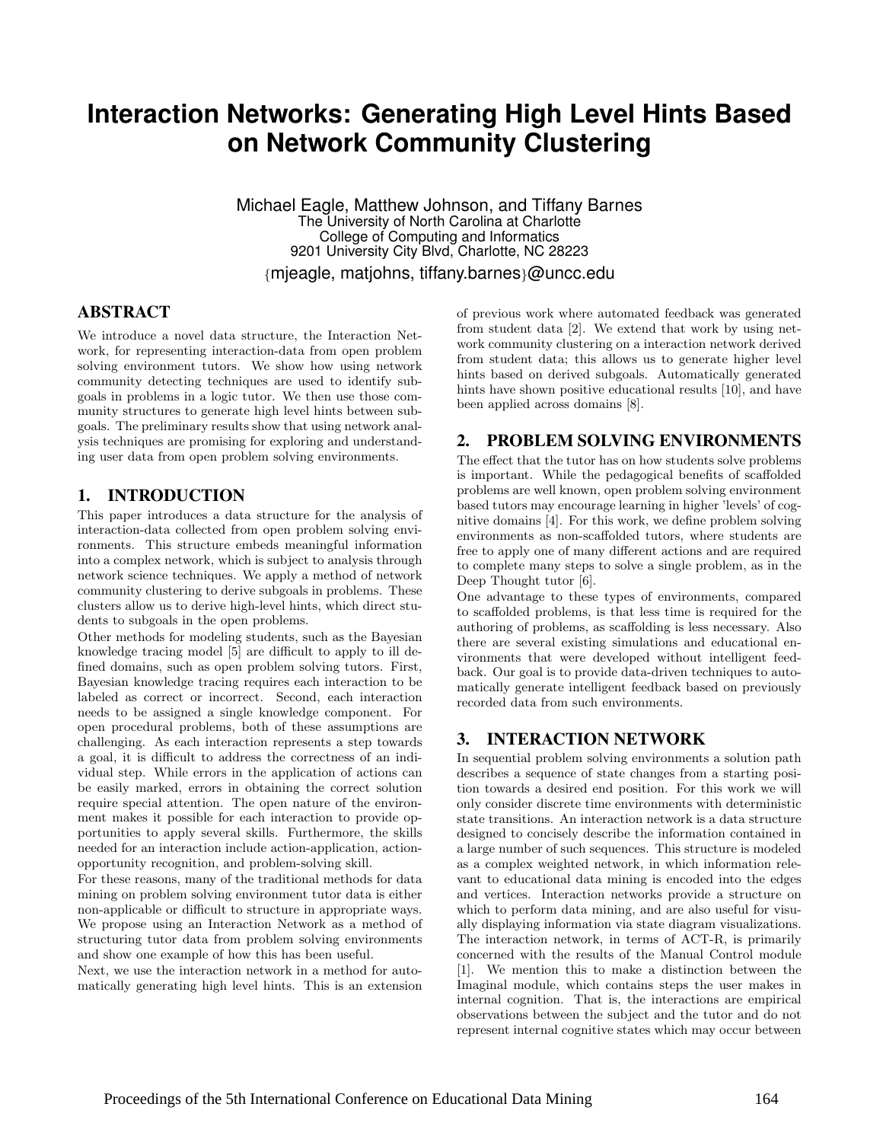# **Interaction Networks: Generating High Level Hints Based on Network Community Clustering**

Michael Eagle, Matthew Johnson, and Tiffany Barnes The University of North Carolina at Charlotte College of Computing and Informatics 9201 University City Blvd, Charlotte, NC 28223 {mjeagle, matjohns, tiffany.barnes}@uncc.edu

## ABSTRACT

We introduce a novel data structure, the Interaction Network, for representing interaction-data from open problem solving environment tutors. We show how using network community detecting techniques are used to identify subgoals in problems in a logic tutor. We then use those community structures to generate high level hints between subgoals. The preliminary results show that using network analysis techniques are promising for exploring and understanding user data from open problem solving environments.

### 1. INTRODUCTION

This paper introduces a data structure for the analysis of interaction-data collected from open problem solving environments. This structure embeds meaningful information into a complex network, which is subject to analysis through network science techniques. We apply a method of network community clustering to derive subgoals in problems. These clusters allow us to derive high-level hints, which direct students to subgoals in the open problems.

Other methods for modeling students, such as the Bayesian knowledge tracing model [5] are difficult to apply to ill defined domains, such as open problem solving tutors. First, Bayesian knowledge tracing requires each interaction to be labeled as correct or incorrect. Second, each interaction needs to be assigned a single knowledge component. For open procedural problems, both of these assumptions are challenging. As each interaction represents a step towards a goal, it is difficult to address the correctness of an individual step. While errors in the application of actions can be easily marked, errors in obtaining the correct solution require special attention. The open nature of the environment makes it possible for each interaction to provide opportunities to apply several skills. Furthermore, the skills needed for an interaction include action-application, actionopportunity recognition, and problem-solving skill.

For these reasons, many of the traditional methods for data mining on problem solving environment tutor data is either non-applicable or difficult to structure in appropriate ways. We propose using an Interaction Network as a method of structuring tutor data from problem solving environments and show one example of how this has been useful.

Next, we use the interaction network in a method for automatically generating high level hints. This is an extension of previous work where automated feedback was generated from student data [2]. We extend that work by using network community clustering on a interaction network derived from student data; this allows us to generate higher level hints based on derived subgoals. Automatically generated hints have shown positive educational results [10], and have been applied across domains [8].

### 2. PROBLEM SOLVING ENVIRONMENTS

The effect that the tutor has on how students solve problems is important. While the pedagogical benefits of scaffolded problems are well known, open problem solving environment based tutors may encourage learning in higher 'levels' of cognitive domains [4]. For this work, we define problem solving environments as non-scaffolded tutors, where students are free to apply one of many different actions and are required to complete many steps to solve a single problem, as in the Deep Thought tutor [6].

One advantage to these types of environments, compared to scaffolded problems, is that less time is required for the authoring of problems, as scaffolding is less necessary. Also there are several existing simulations and educational environments that were developed without intelligent feedback. Our goal is to provide data-driven techniques to automatically generate intelligent feedback based on previously recorded data from such environments.

## 3. INTERACTION NETWORK

In sequential problem solving environments a solution path describes a sequence of state changes from a starting position towards a desired end position. For this work we will only consider discrete time environments with deterministic state transitions. An interaction network is a data structure designed to concisely describe the information contained in a large number of such sequences. This structure is modeled as a complex weighted network, in which information relevant to educational data mining is encoded into the edges and vertices. Interaction networks provide a structure on which to perform data mining, and are also useful for visually displaying information via state diagram visualizations. The interaction network, in terms of ACT-R, is primarily concerned with the results of the Manual Control module [1]. We mention this to make a distinction between the Imaginal module, which contains steps the user makes in internal cognition. That is, the interactions are empirical observations between the subject and the tutor and do not represent internal cognitive states which may occur between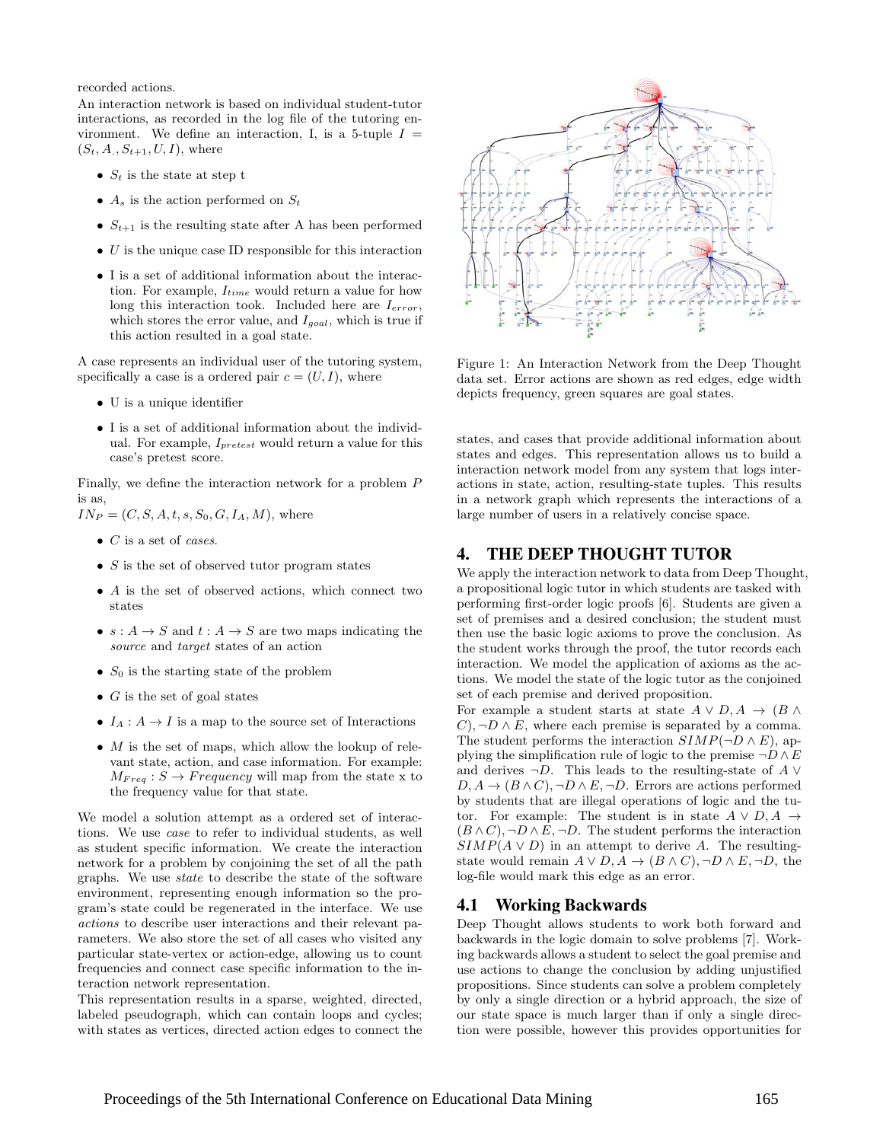recorded actions.

An interaction network is based on individual student-tutor interactions, as recorded in the log file of the tutoring environment. We define an interaction, I, is a 5-tuple  $I =$  $(S_t, A_., S_{t+1}, U, I),$  where

- $S_t$  is the state at step t
- $A_s$  is the action performed on  $S_t$
- $S_{t+1}$  is the resulting state after A has been performed
- $\bullet$  U is the unique case ID responsible for this interaction
- I is a set of additional information about the interaction. For example,  $I_{time}$  would return a value for how long this interaction took. Included here are  $I_{error}$ , which stores the error value, and  $I_{goal}$ , which is true if this action resulted in a goal state.

A case represents an individual user of the tutoring system, specifically a case is a ordered pair  $c = (U, I)$ , where

- U is a unique identifier
- I is a set of additional information about the individual. For example,  $I_{pretest}$  would return a value for this case's pretest score.

Finally, we define the interaction network for a problem P is as,

 $IN_P = (C, S, A, t, s, S_0, G, I_A, M)$ , where

- $\bullet$  C is a set of cases.
- $S$  is the set of observed tutor program states
- A is the set of observed actions, which connect two states
- $s: A \rightarrow S$  and  $t: A \rightarrow S$  are two maps indicating the source and *target* states of an action
- $S_0$  is the starting state of the problem
- $G$  is the set of goal states
- $I_A: A \to I$  is a map to the source set of Interactions
- $M$  is the set of maps, which allow the lookup of relevant state, action, and case information. For example:  $M_{Freq}: S \rightarrow Frequency$  will map from the state x to the frequency value for that state.

We model a solution attempt as a ordered set of interactions. We use case to refer to individual students, as well as student specific information. We create the interaction network for a problem by conjoining the set of all the path graphs. We use state to describe the state of the software environment, representing enough information so the program's state could be regenerated in the interface. We use actions to describe user interactions and their relevant parameters. We also store the set of all cases who visited any particular state-vertex or action-edge, allowing us to count frequencies and connect case specific information to the interaction network representation.

This representation results in a sparse, weighted, directed, labeled pseudograph, which can contain loops and cycles; with states as vertices, directed action edges to connect the



Figure 1: An Interaction Network from the Deep Thought data set. Error actions are shown as red edges, edge width depicts frequency, green squares are goal states.

states, and cases that provide additional information about states and edges. This representation allows us to build a interaction network model from any system that logs interactions in state, action, resulting-state tuples. This results in a network graph which represents the interactions of a large number of users in a relatively concise space.

#### 4. THE DEEP THOUGHT TUTOR

We apply the interaction network to data from Deep Thought, a propositional logic tutor in which students are tasked with performing first-order logic proofs [6]. Students are given a set of premises and a desired conclusion; the student must then use the basic logic axioms to prove the conclusion. As the student works through the proof, the tutor records each interaction. We model the application of axioms as the actions. We model the state of the logic tutor as the conjoined set of each premise and derived proposition.

For example a student starts at state  $A \vee D$ ,  $A \rightarrow (B \wedge$  $C$ , ¬ $D \wedge E$ , where each premise is separated by a comma. The student performs the interaction  $SIMP(\neg D \wedge E)$ , applying the simplification rule of logic to the premise  $\neg D \wedge E$ and derives  $\neg D$ . This leads to the resulting-state of A ∨  $D, A \rightarrow (B \wedge C), \neg D \wedge E, \neg D$ . Errors are actions performed by students that are illegal operations of logic and the tutor. For example: The student is in state  $A \vee D$ ,  $A \rightarrow$  $(B \wedge C), \neg D \wedge E, \neg D$ . The student performs the interaction  $SIMP(A \vee D)$  in an attempt to derive A. The resultingstate would remain  $A \lor D$ ,  $A \to (B \land C)$ ,  $\neg D \land E$ ,  $\neg D$ , the log-file would mark this edge as an error.

#### 4.1 Working Backwards

Deep Thought allows students to work both forward and backwards in the logic domain to solve problems [7]. Working backwards allows a student to select the goal premise and use actions to change the conclusion by adding unjustified propositions. Since students can solve a problem completely by only a single direction or a hybrid approach, the size of our state space is much larger than if only a single direction were possible, however this provides opportunities for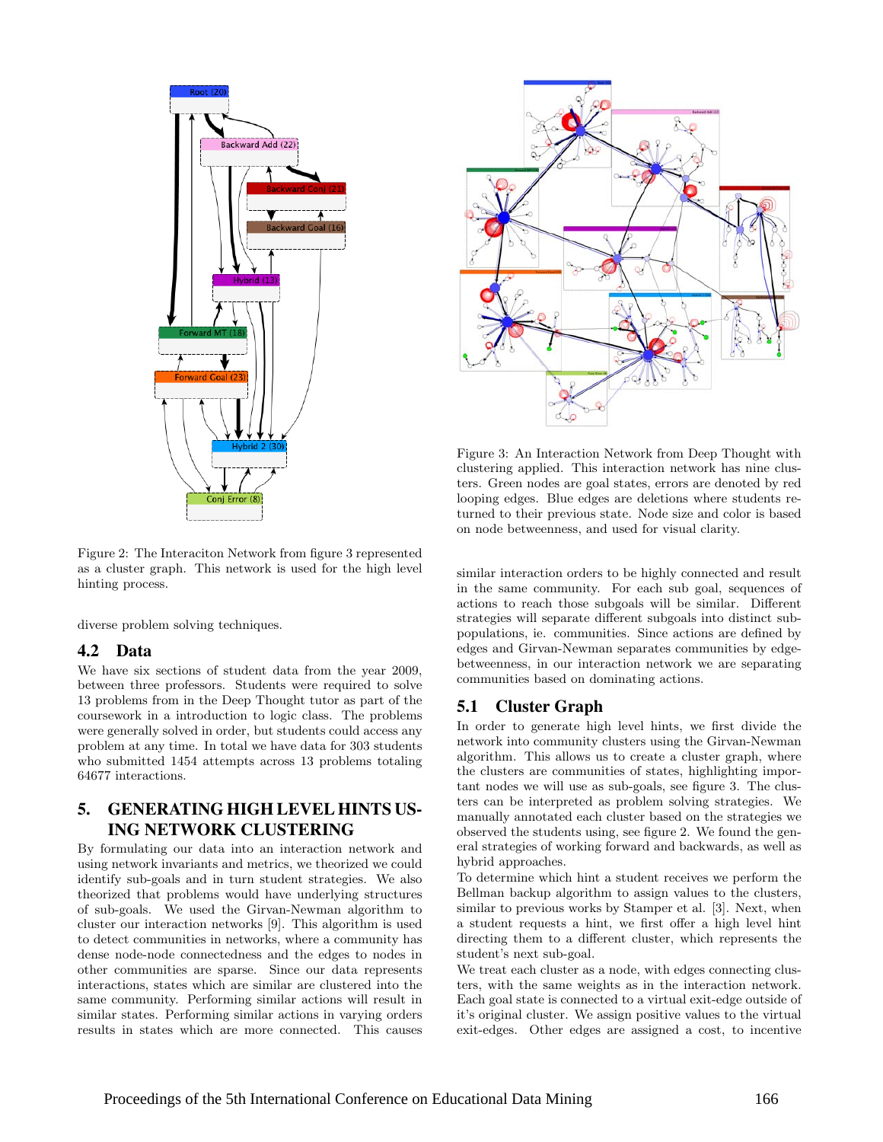

Figure 2: The Interaciton Network from figure 3 represented as a cluster graph. This network is used for the high level hinting process.

diverse problem solving techniques.

### 4.2 Data

We have six sections of student data from the year 2009, between three professors. Students were required to solve 13 problems from in the Deep Thought tutor as part of the coursework in a introduction to logic class. The problems were generally solved in order, but students could access any problem at any time. In total we have data for 303 students who submitted 1454 attempts across 13 problems totaling 64677 interactions.

## 5. GENERATING HIGH LEVEL HINTS US-ING NETWORK CLUSTERING

By formulating our data into an interaction network and using network invariants and metrics, we theorized we could identify sub-goals and in turn student strategies. We also theorized that problems would have underlying structures of sub-goals. We used the Girvan-Newman algorithm to cluster our interaction networks [9]. This algorithm is used to detect communities in networks, where a community has dense node-node connectedness and the edges to nodes in other communities are sparse. Since our data represents interactions, states which are similar are clustered into the same community. Performing similar actions will result in similar states. Performing similar actions in varying orders results in states which are more connected. This causes



Figure 3: An Interaction Network from Deep Thought with clustering applied. This interaction network has nine clusters. Green nodes are goal states, errors are denoted by red looping edges. Blue edges are deletions where students returned to their previous state. Node size and color is based on node betweenness, and used for visual clarity.

similar interaction orders to be highly connected and result in the same community. For each sub goal, sequences of actions to reach those subgoals will be similar. Different strategies will separate different subgoals into distinct subpopulations, ie. communities. Since actions are defined by edges and Girvan-Newman separates communities by edgebetweenness, in our interaction network we are separating communities based on dominating actions.

### 5.1 Cluster Graph

In order to generate high level hints, we first divide the network into community clusters using the Girvan-Newman algorithm. This allows us to create a cluster graph, where the clusters are communities of states, highlighting important nodes we will use as sub-goals, see figure 3. The clusters can be interpreted as problem solving strategies. We manually annotated each cluster based on the strategies we observed the students using, see figure 2. We found the general strategies of working forward and backwards, as well as hybrid approaches.

To determine which hint a student receives we perform the Bellman backup algorithm to assign values to the clusters, similar to previous works by Stamper et al. [3]. Next, when a student requests a hint, we first offer a high level hint directing them to a different cluster, which represents the student's next sub-goal.

We treat each cluster as a node, with edges connecting clusters, with the same weights as in the interaction network. Each goal state is connected to a virtual exit-edge outside of it's original cluster. We assign positive values to the virtual exit-edges. Other edges are assigned a cost, to incentive